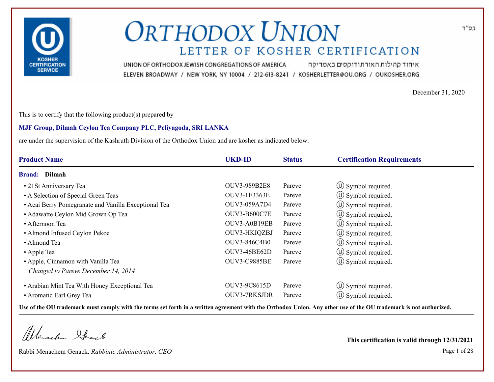

איחוד קהילות האורתודוקסים באמריקה UNION OF ORTHODOX JEWISH CONGREGATIONS OF AMERICA ELEVEN BROADWAY / NEW YORK, NY 10004 / 212-613-8241 / KOSHERLETTER@OU.ORG / OUKOSHER.ORG

December 31, 2020

This is to certify that the following product(s) prepared by

#### **MJF Group, Dilmah Ceylon Tea Company PLC, Peliyagoda, SRI LANKA**

are under the supervision of the Kashruth Division of the Orthodox Union and are kosher as indicated below.

| <b>Product Name</b>                                  | <b>UKD-ID</b>       | <b>Status</b> | <b>Certification Requirements</b> |
|------------------------------------------------------|---------------------|---------------|-----------------------------------|
| <b>Brand:</b> Dilmah                                 |                     |               |                                   |
| • 21 St Anniversary Tea                              | <b>OUV3-989B2E8</b> | Pareve        | $\circ$ Symbol required.          |
| • A Selection of Special Green Teas                  | OUV3-1E3363E        | Pareve        | $\circled{1}$ Symbol required.    |
| • Acai Berry Pomegranate and Vanilla Exceptional Tea | OUV3-059A7D4        | Pareve        | $\circled{1}$ Symbol required.    |
| • Adawatte Ceylon Mid Grown Op Tea                   | <b>OUV3-B600C7E</b> | Pareve        | $\circ$ Symbol required.          |
| • Afternoon Tea                                      | OUV3-A0B19EB        | Pareve        | $\circ$ Symbol required.          |
| • Almond Infused Ceylon Pekoe                        | OUV3-HKIQZBJ        | Pareve        | (U) Symbol required.              |
| • Almond Tea                                         | OUV3-846C4B0        | Pareve        | $\circ$ Symbol required.          |
| • Apple Tea                                          | <b>OUV3-46BE62D</b> | Pareve        | $\circ$ Symbol required.          |
| • Apple, Cinnamon with Vanilla Tea                   | <b>OUV3-C9885BE</b> | Pareve        | (U) Symbol required.              |
| Changed to Pareve December 14, 2014                  |                     |               |                                   |
| • Arabian Mint Tea With Honey Exceptional Tea        | OUV3-9C8615D        | Pareve        | $\circled{1}$ Symbol required.    |
| • Aromatic Earl Grey Tea                             | <b>OUV3-7RKSJDR</b> | Pareve        | $\circ$ Symbol required.          |

**Use of the OU trademark must comply with the terms set forth in a written agreement with the Orthodox Union. Any other use of the OU trademark is not authorized.**

Werschn Stack

Rabbi Menachem Genack, *Rabbinic Administrator, CEO* Page 1 of 28

**This certification is valid through 12/31/2021**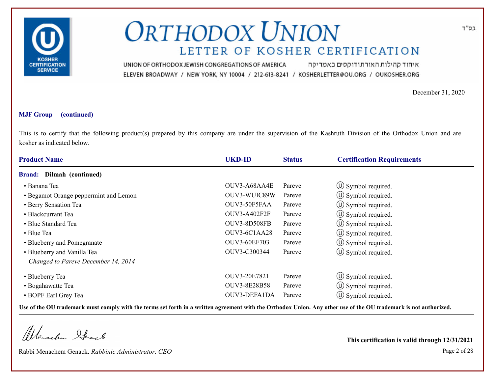

איחוד קהילות האורתודוקסים באמריקה UNION OF ORTHODOX JEWISH CONGREGATIONS OF AMERICA ELEVEN BROADWAY / NEW YORK, NY 10004 / 212-613-8241 / KOSHERLETTER@OU.ORG / OUKOSHER.ORG

December 31, 2020

#### **MJF Group (continued)**

This is to certify that the following product(s) prepared by this company are under the supervision of the Kashruth Division of the Orthodox Union and are kosher as indicated below.

| <b>Product Name</b>                   | <b>UKD-ID</b>       | <b>Status</b> | <b>Certification Requirements</b> |  |
|---------------------------------------|---------------------|---------------|-----------------------------------|--|
| Dilmah (continued)<br><b>Brand:</b>   |                     |               |                                   |  |
| • Banana Tea                          | OUV3-A68AA4E        | Pareve        | $\circ$ Symbol required.          |  |
| • Begamot Orange peppermint and Lemon | OUV3-WUIC89W        | Pareve        | $\circ$ Symbol required.          |  |
| • Berry Sensation Tea                 | OUV3-50F5FAA        | Pareve        | $\circled{1}$ Symbol required.    |  |
| • Blackcurrant Tea                    | OUV3-A402F2F        | Pareve        | (U) Symbol required.              |  |
| • Blue Standard Tea                   | OUV3-8D508FB        | Pareve        | $\circ$ Symbol required.          |  |
| • Blue Tea                            | OUV3-6C1AA28        | Pareve        | $\circled{1}$ Symbol required.    |  |
| • Blueberry and Pomegranate           | <b>OUV3-60EF703</b> | Pareve        | $\circ$ Symbol required.          |  |
| • Blueberry and Vanilla Tea           | OUV3-C300344        | Pareve        | $\circled{1}$ Symbol required.    |  |
| Changed to Pareve December 14, 2014   |                     |               |                                   |  |
| • Blueberry Tea                       | OUV3-20E7821        | Pareve        | $\circ$ Symbol required.          |  |
| • Bogahawatte Tea                     | <b>OUV3-8E28B58</b> | Pareve        | $\circ$ Symbol required.          |  |
| • BOPF Earl Grey Tea                  | OUV3-DEFA1DA        | Pareve        | $\circ$ Symbol required.          |  |

**Use of the OU trademark must comply with the terms set forth in a written agreement with the Orthodox Union. Any other use of the OU trademark is not authorized.**

Werachen Stack

Rabbi Menachem Genack, *Rabbinic Administrator, CEO* Page 2 of 28

**This certification is valid through 12/31/2021**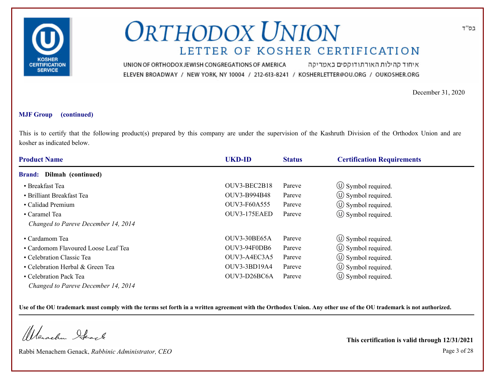

איחוד קהילות האורתודוקסים באמריקה UNION OF ORTHODOX JEWISH CONGREGATIONS OF AMERICA ELEVEN BROADWAY / NEW YORK, NY 10004 / 212-613-8241 / KOSHERLETTER@OU.ORG / OUKOSHER.ORG

December 31, 2020

#### **MJF Group (continued)**

This is to certify that the following product(s) prepared by this company are under the supervision of the Kashruth Division of the Orthodox Union and are kosher as indicated below.

| <b>Product Name</b>                 | <b>UKD-ID</b> | <b>Status</b> | <b>Certification Requirements</b> |  |
|-------------------------------------|---------------|---------------|-----------------------------------|--|
| <b>Brand:</b> Dilmah (continued)    |               |               |                                   |  |
| • Breakfast Tea                     | OUV3-BEC2B18  | Pareve        | $\circ$ Symbol required.          |  |
| • Brilliant Breakfast Tea           | OUV3-B994B48  | Pareve        | $\circled{1}$ Symbol required.    |  |
| • Calidad Premium                   | OUV3-F60A555  | Pareve        | $\circ$ Symbol required.          |  |
| • Caramel Tea                       | OUV3-175EAED  | Pareve        | $\circled{1}$ Symbol required.    |  |
| Changed to Pareve December 14, 2014 |               |               |                                   |  |
| • Cardamom Tea                      | OUV3-30BE65A  | Pareve        | $\circled{1}$ Symbol required.    |  |
| • Cardomom Flavoured Loose Leaf Tea | OUV3-94F0DB6  | Pareve        | $\circ$ Symbol required.          |  |
| • Celebration Classic Tea           | OUV3-A4EC3A5  | Pareve        | $\circled{1}$ Symbol required.    |  |
| • Celebration Herbal & Green Tea    | OUV3-3BD19A4  | Pareve        | $\circled{1}$ Symbol required.    |  |
| • Celebration Pack Tea              | OUV3-D26BC6A  | Pareve        | $\circ$ Symbol required.          |  |
| Changed to Pareve December 14, 2014 |               |               |                                   |  |

**Use of the OU trademark must comply with the terms set forth in a written agreement with the Orthodox Union. Any other use of the OU trademark is not authorized.**

Werschn Stack

Rabbi Menachem Genack, *Rabbinic Administrator, CEO* Page 3 of 28

**This certification is valid through 12/31/2021**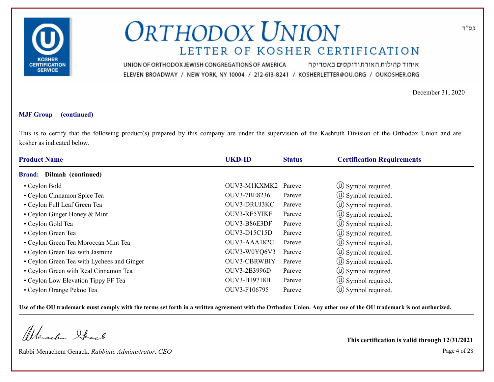

איחוד קהילות האורתודוקסים באמריקה UNION OF ORTHODOX JEWISH CONGREGATIONS OF AMERICA ELEVEN BROADWAY / NEW YORK, NY 10004 / 212-613-8241 / KOSHERLETTER@OU.ORG / OUKOSHER.ORG

December 31, 2020

#### **MJF Group (continued)**

This is to certify that the following product(s) prepared by this company are under the supervision of the Kashruth Division of the Orthodox Union and are kosher as indicated below.

| <b>Product Name</b>                        | <b>UKD-ID</b>       | <b>Status</b> | <b>Certification Requirements</b> |
|--------------------------------------------|---------------------|---------------|-----------------------------------|
| <b>Brand:</b> Dilmah (continued)           |                     |               |                                   |
| • Ceylon Bold                              | OUV3-M1KXMK2        | Pareve        | $\circ$ Symbol required.          |
| • Ceylon Cinnamon Spice Tea                | OUV3-7BE8236        | Pareve        | $\circ$ Symbol required.          |
| • Ceylon Full Leaf Green Tea               | OUV3-DRUJ3KC        | Pareve        | $\circled{1}$ Symbol required.    |
| • Ceylon Ginger Honey & Mint               | OUV3-RE5YIKF        | Pareve        | $\circ$ Symbol required.          |
| • Ceylon Gold Tea                          | OUV3-B86E3DF        | Pareve        | $\circ$ Symbol required.          |
| • Ceylon Green Tea                         | <b>OUV3-D15C15D</b> | Pareve        | (U) Symbol required.              |
| • Ceylon Green Tea Moroccan Mint Tea       | OUV3-AAA182C        | Pareve        | $\circ$ Symbol required.          |
| • Ceylon Green Tea with Jasmine            | OUV3-W0YQ6V3        | Pareve        | $\circled{1}$ Symbol required.    |
| • Ceylon Green Tea with Lychees and Ginger | <b>OUV3-CBRWBIY</b> | Pareve        | $\circ$ Symbol required.          |
| • Ceylon Green with Real Cinnamon Tea      | OUV3-2B3996D        | Pareve        | $\circ$ Symbol required.          |
| • Ceylon Low Elevation Tippy FF Tea        | OUV3-B19718B        | Pareve        | $\circled{1}$ Symbol required.    |
| • Ceylon Orange Pekoe Tea                  | OUV3-F106795        | Pareve        | $\circ$ Symbol required.          |

**Use of the OU trademark must comply with the terms set forth in a written agreement with the Orthodox Union. Any other use of the OU trademark is not authorized.**

Werachen Ifeart

Rabbi Menachem Genack, *Rabbinic Administrator, CEO* Page 4 of 28

**This certification is valid through 12/31/2021**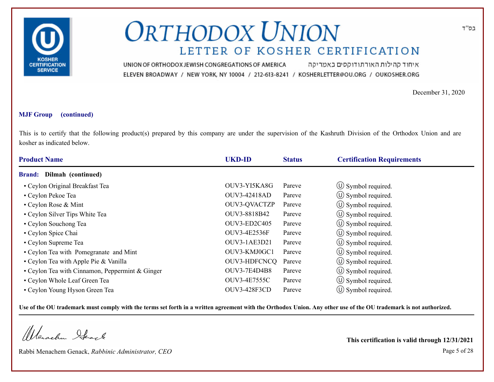

איחוד קהילות האורתודוקסים באמריקה UNION OF ORTHODOX JEWISH CONGREGATIONS OF AMERICA ELEVEN BROADWAY / NEW YORK, NY 10004 / 212-613-8241 / KOSHERLETTER@OU.ORG / OUKOSHER.ORG

December 31, 2020

#### **MJF Group (continued)**

This is to certify that the following product(s) prepared by this company are under the supervision of the Kashruth Division of the Orthodox Union and are kosher as indicated below.

| <b>Product Name</b>                             | <b>UKD-ID</b>       | <b>Status</b> | <b>Certification Requirements</b> |  |
|-------------------------------------------------|---------------------|---------------|-----------------------------------|--|
| <b>Brand:</b> Dilmah (continued)                |                     |               |                                   |  |
| • Ceylon Original Breakfast Tea                 | OUV3-YI5KA8G        | Pareve        | $\circ$ Symbol required.          |  |
| • Ceylon Pekoe Tea                              | OUV3-42418AD        | Pareve        | $\circled{1}$ Symbol required.    |  |
| • Ceylon Rose & Mint                            | OUV3-QVACTZP        | Pareve        | $\circled{1}$ Symbol required.    |  |
| • Ceylon Silver Tips White Tea                  | OUV3-8818B42        | Pareve        | $\circ$ Symbol required.          |  |
| • Ceylon Souchong Tea                           | OUV3-ED2C405        | Pareve        | $\circ$ Symbol required.          |  |
| • Ceylon Spice Chai                             | OUV3-4E2536F        | Pareve        | $\circ$ Symbol required.          |  |
| • Ceylon Supreme Tea                            | OUV3-1AE3D21        | Pareve        | $\circ$ Symbol required.          |  |
| • Ceylon Tea with Pomegranate and Mint          | OUV3-KMJ0GC1        | Pareve        | (U) Symbol required.              |  |
| • Ceylon Tea with Apple Pie & Vanilla           | OUV3-HDFCNCQ        | Pareve        | $\circ$ Symbol required.          |  |
| • Ceylon Tea with Cinnamon, Peppermint & Ginger | <b>OUV3-7E4D4B8</b> | Pareve        | $\circ$ Symbol required.          |  |
| • Ceylon Whole Leaf Green Tea                   | OUV3-4E7555C        | Pareve        | $\circ$ Symbol required.          |  |
| • Ceylon Young Hyson Green Tea                  | OUV3-428F3CD        | Pareve        | $\circ$ Symbol required.          |  |

**Use of the OU trademark must comply with the terms set forth in a written agreement with the Orthodox Union. Any other use of the OU trademark is not authorized.**

Werachen Ifeart

Rabbi Menachem Genack, *Rabbinic Administrator, CEO* Page 5 of 28

**This certification is valid through 12/31/2021**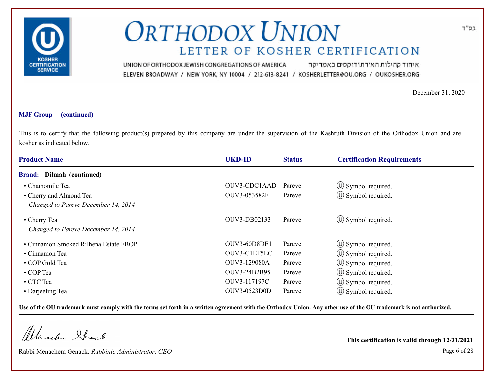

איחוד קהילות האורתודוקסים באמריקה UNION OF ORTHODOX JEWISH CONGREGATIONS OF AMERICA ELEVEN BROADWAY / NEW YORK, NY 10004 / 212-613-8241 / KOSHERLETTER@OU.ORG / OUKOSHER.ORG

December 31, 2020

#### **MJF Group (continued)**

This is to certify that the following product(s) prepared by this company are under the supervision of the Kashruth Division of the Orthodox Union and are kosher as indicated below.

| <b>Product Name</b>                   | <b>UKD-ID</b> | <b>Status</b> | <b>Certification Requirements</b> |
|---------------------------------------|---------------|---------------|-----------------------------------|
| Dilmah (continued)<br><b>Brand:</b>   |               |               |                                   |
| • Chamomile Tea                       | OUV3-CDC1AAD  | Pareve        | $\circ$ Symbol required.          |
| • Cherry and Almond Tea               | OUV3-053582F  | Pareve        | $\circled{1}$ Symbol required.    |
| Changed to Pareve December 14, 2014   |               |               |                                   |
| • Cherry Tea                          | OUV3-DB02133  | Pareve        | $\circ$ Symbol required.          |
| Changed to Pareve December 14, 2014   |               |               |                                   |
| • Cinnamon Smoked Rilhena Estate FBOP | OUV3-60D8DE1  | Pareve        | $\circ$ Symbol required.          |
| • Cinnamon Tea                        | OUV3-C1EF5EC  | Pareve        | $\circ$ Symbol required.          |
| • COP Gold Tea                        | OUV3-129080A  | Pareve        | $\circ$ Symbol required.          |
| • COP Tea                             | OUV3-24B2B95  | Pareve        | $\circ$ Symbol required.          |
| • CTC Tea                             | OUV3-117197C  | Pareve        | $\circ$ Symbol required.          |
| • Darjeeling Tea                      | OUV3-0523D0D  | Pareve        | $(\cup)$ Symbol required.         |

**Use of the OU trademark must comply with the terms set forth in a written agreement with the Orthodox Union. Any other use of the OU trademark is not authorized.**

Werachen Ifearle

Rabbi Menachem Genack, *Rabbinic Administrator, CEO* Page 6 of 28

**This certification is valid through 12/31/2021**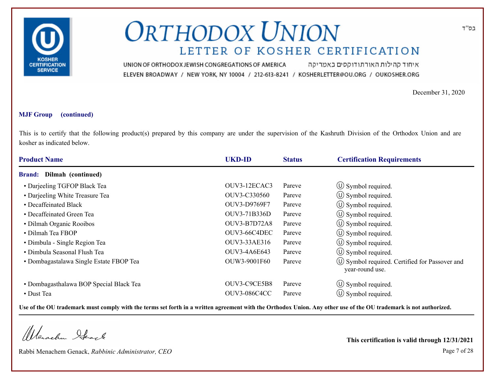

איחוד קהילות האורתודוקסים באמריקה UNION OF ORTHODOX JEWISH CONGREGATIONS OF AMERICA ELEVEN BROADWAY / NEW YORK, NY 10004 / 212-613-8241 / KOSHERLETTER@OU.ORG / OUKOSHER.ORG

December 31, 2020

#### **MJF Group (continued)**

This is to certify that the following product(s) prepared by this company are under the supervision of the Kashruth Division of the Orthodox Union and are kosher as indicated below.

| <b>Product Name</b>                     | <b>UKD-ID</b>       | <b>Status</b> | <b>Certification Requirements</b>                                      |
|-----------------------------------------|---------------------|---------------|------------------------------------------------------------------------|
| <b>Brand:</b> Dilmah (continued)        |                     |               |                                                                        |
| • Darjeeling TGFOP Black Tea            | OUV3-12ECAC3        | Pareve        | $\circ$ Symbol required.                                               |
| • Darjeeling White Treasure Tea         | OUV3-C330560        | Pareve        | $\circ$ Symbol required.                                               |
| • Decaffeinated Black                   | OUV3-D9769F7        | Pareve        | $\circ$ Symbol required.                                               |
| • Decaffeinated Green Tea               | OUV3-71B336D        | Pareve        | $\circ$ Symbol required.                                               |
| • Dilmah Organic Rooibos                | <b>OUV3-B7D72A8</b> | Pareve        | $\circ$ Symbol required.                                               |
| • Dilmah Tea FBOP                       | OUV3-66C4DEC        | Pareve        | $\circ$ Symbol required.                                               |
| • Dimbula - Single Region Tea           | OUV3-33AE316        | Pareve        | $\circ$ Symbol required.                                               |
| • Dimbula Seasonal Flush Tea            | OUV3-4A6E643        | Pareve        | $\circ$ Symbol required.                                               |
| • Dombagastalawa Single Estate FBOP Tea | OUW3-9001F60        | Pareve        | $\circ$ Symbol required. Certified for Passover and<br>year-round use. |
| • Dombagasthalawa BOP Special Black Tea | OUV3-C9CE5B8        | Pareve        | $\circled{0}$ Symbol required.                                         |
| • Dust Tea                              | <b>OUV3-086C4CC</b> | Pareve        | $\circ$ Symbol required.                                               |

**Use of the OU trademark must comply with the terms set forth in a written agreement with the Orthodox Union. Any other use of the OU trademark is not authorized.**

Werachen Ifearle

Rabbi Menachem Genack, *Rabbinic Administrator, CEO* Page 7 of 28

**This certification is valid through 12/31/2021**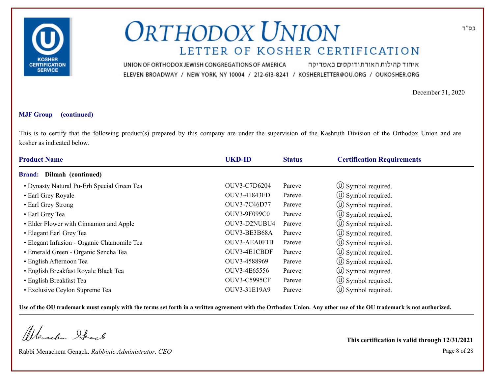

איחוד קהילות האורתודוקסים באמריקה UNION OF ORTHODOX JEWISH CONGREGATIONS OF AMERICA ELEVEN BROADWAY / NEW YORK, NY 10004 / 212-613-8241 / KOSHERLETTER@OU.ORG / OUKOSHER.ORG

December 31, 2020

#### **MJF Group (continued)**

This is to certify that the following product(s) prepared by this company are under the supervision of the Kashruth Division of the Orthodox Union and are kosher as indicated below.

| <b>Product Name</b>                        | <b>UKD-ID</b>       | <b>Status</b> | <b>Certification Requirements</b> |  |
|--------------------------------------------|---------------------|---------------|-----------------------------------|--|
| <b>Brand:</b> Dilmah (continued)           |                     |               |                                   |  |
| • Dynasty Natural Pu-Erh Special Green Tea | OUV3-C7D6204        | Pareve        | $\circ$ Symbol required.          |  |
| • Earl Grey Royale                         | OUV3-41843FD        | Pareve        | $\circled{1}$ Symbol required.    |  |
| • Earl Grey Strong                         | OUV3-7C46D77        | Pareve        | $\circled{1}$ Symbol required.    |  |
| • Earl Grey Tea                            | <b>OUV3-9F099C0</b> | Pareve        | $\circ$ Symbol required.          |  |
| • Elder Flower with Cinnamon and Apple     | OUV3-D2NUBU4        | Pareve        | $\circ$ Symbol required.          |  |
| • Elegant Earl Grey Tea                    | OUV3-BE3B68A        | Pareve        | $\circ$ Symbol required.          |  |
| • Elegant Infusion - Organic Chamomile Tea | OUV3-AEA0F1B        | Pareve        | $\circ$ Symbol required.          |  |
| · Emerald Green - Organic Sencha Tea       | OUV3-4E1CBDF        | Pareve        | (U) Symbol required.              |  |
| • English Afternoon Tea                    | OUV3-4588969        | Pareve        | $\circled{1}$ Symbol required.    |  |
| • English Breakfast Royale Black Tea       | OUV3-4E65556        | Pareve        | $\circled{1}$ Symbol required.    |  |
| • English Breakfast Tea                    | <b>OUV3-C5995CF</b> | Pareve        | $\circ$ Symbol required.          |  |
| • Exclusive Ceylon Supreme Tea             | OUV3-31E19A9        | Pareve        | $\circ$ Symbol required.          |  |

**Use of the OU trademark must comply with the terms set forth in a written agreement with the Orthodox Union. Any other use of the OU trademark is not authorized.**

Werachen Stack

Rabbi Menachem Genack, *Rabbinic Administrator, CEO* Page 8 of 28

**This certification is valid through 12/31/2021**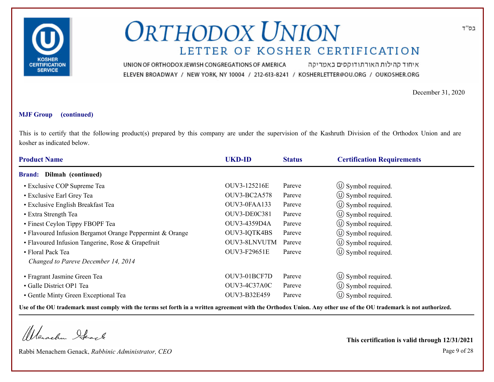

איחוד קהילות האורתודוקסים באמריקה UNION OF ORTHODOX JEWISH CONGREGATIONS OF AMERICA ELEVEN BROADWAY / NEW YORK, NY 10004 / 212-613-8241 / KOSHERLETTER@OU.ORG / OUKOSHER.ORG

December 31, 2020

#### **MJF Group (continued)**

This is to certify that the following product(s) prepared by this company are under the supervision of the Kashruth Division of the Orthodox Union and are kosher as indicated below.

| <b>Product Name</b>                                      | <b>UKD-ID</b>       | <b>Status</b> | <b>Certification Requirements</b> |
|----------------------------------------------------------|---------------------|---------------|-----------------------------------|
| Dilmah (continued)<br><b>Brand:</b>                      |                     |               |                                   |
| • Exclusive COP Supreme Tea                              | OUV3-125216E        | Pareve        | $\circ$ Symbol required.          |
| • Exclusive Earl Grey Tea                                | OUV3-BC2A578        | Pareve        | $\circ$ Symbol required.          |
| • Exclusive English Breakfast Tea                        | OUV3-0FAA133        | Pareve        | $\circled{1}$ Symbol required.    |
| • Extra Strength Tea                                     | OUV3-DE0C381        | Pareve        | (U) Symbol required.              |
| • Finest Ceylon Tippy FBOPF Tea                          | OUV3-4359D4A        | Pareve        | $\circ$ Symbol required.          |
| • Flavoured Infusion Bergamot Orange Peppermint & Orange | OUV3-IQTK4BS        | Pareve        | $\circled{0}$ Symbol required.    |
| • Flavoured Infusion Tangerine, Rose & Grapefruit        | OUV3-8LNVUTM        | Pareve        | $\circ$ Symbol required.          |
| • Floral Pack Tea                                        | OUV3-F29651E        | Pareve        | $\circled{1}$ Symbol required.    |
| Changed to Pareve December 14, 2014                      |                     |               |                                   |
| • Fragrant Jasmine Green Tea                             | OUV3-01BCF7D        | Pareve        | $\circ$ Symbol required.          |
| • Galle District OP1 Tea                                 | <b>OUV3-4C37A0C</b> | Pareve        | $\circ$ Symbol required.          |
| • Gentle Minty Green Exceptional Tea                     | OUV3-B32E459        | Pareve        | $\circ$ Symbol required.          |

**Use of the OU trademark must comply with the terms set forth in a written agreement with the Orthodox Union. Any other use of the OU trademark is not authorized.**

Werachen Ifeart

Rabbi Menachem Genack, *Rabbinic Administrator, CEO* Page 9 of 28

**This certification is valid through 12/31/2021**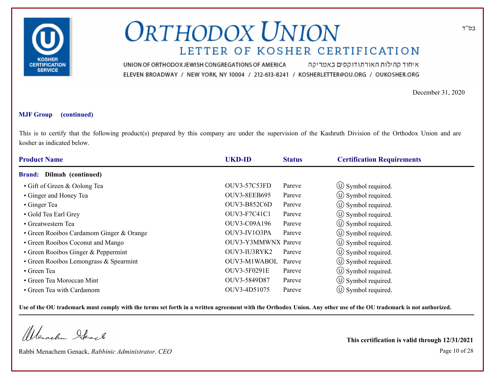

איחוד קהילות האורתודוקסים באמריקה UNION OF ORTHODOX JEWISH CONGREGATIONS OF AMERICA ELEVEN BROADWAY / NEW YORK, NY 10004 / 212-613-8241 / KOSHERLETTER@OU.ORG / OUKOSHER.ORG

December 31, 2020

#### **MJF Group (continued)**

This is to certify that the following product(s) prepared by this company are under the supervision of the Kashruth Division of the Orthodox Union and are kosher as indicated below.

| <b>Product Name</b>                      | <b>UKD-ID</b>       | <b>Status</b> | <b>Certification Requirements</b> |
|------------------------------------------|---------------------|---------------|-----------------------------------|
| <b>Brand:</b> Dilmah (continued)         |                     |               |                                   |
| • Gift of Green & Oolong Tea             | <b>OUV3-57C53FD</b> | Pareve        | $\circ$ Symbol required.          |
| • Ginger and Honey Tea                   | <b>OUV3-8EEB695</b> | Pareve        | $\circled{1}$ Symbol required.    |
| • Ginger Tea                             | <b>OUV3-B852C6D</b> | Pareve        | $\circled{1}$ Symbol required.    |
| • Gold Tea Earl Grey                     | <b>OUV3-F7C41C1</b> | Pareve        | $\circ$ Symbol required.          |
| • Greatwestern Tea                       | OUV3-C09A196        | Pareve        | $\circ$ Symbol required.          |
| • Green Rooibos Cardamom Ginger & Orange | OUV3-IV103PA        | Pareve        | $\circ$ Symbol required.          |
| • Green Rooibos Coconut and Mango        | OUV3-Y3MMWNX Pareve |               | $\circ$ Symbol required.          |
| • Green Rooibos Ginger & Peppermint      | OUV3-IU3RYK2        | Pareve        | (U) Symbol required.              |
| • Green Rooibos Lemongrass & Spearmint   | OUV3-M1WABOL        | Pareve        | $\circ$ Symbol required.          |
| • Green Tea                              | <b>OUV3-5F0291E</b> | Pareve        | $\circ$ Symbol required.          |
| • Green Tea Moroccan Mint                | OUV3-5849D87        | Pareve        | $\circ$ Symbol required.          |
| • Green Tea with Cardamom                | OUV3-4D51075        | Pareve        | $(\cup)$ Symbol required.         |

**Use of the OU trademark must comply with the terms set forth in a written agreement with the Orthodox Union. Any other use of the OU trademark is not authorized.**

Werachen Stack

Rabbi Menachem Genack, *Rabbinic Administrator, CEO* Page 10 of 28

**This certification is valid through 12/31/2021**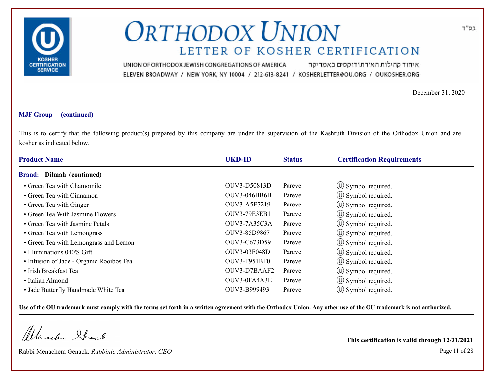

איחוד קהילות האורתודוקסים באמריקה UNION OF ORTHODOX JEWISH CONGREGATIONS OF AMERICA ELEVEN BROADWAY / NEW YORK, NY 10004 / 212-613-8241 / KOSHERLETTER@OU.ORG / OUKOSHER.ORG

December 31, 2020

#### **MJF Group (continued)**

This is to certify that the following product(s) prepared by this company are under the supervision of the Kashruth Division of the Orthodox Union and are kosher as indicated below.

| <b>Product Name</b>                      | <b>UKD-ID</b>       | <b>Status</b> | <b>Certification Requirements</b> |  |  |
|------------------------------------------|---------------------|---------------|-----------------------------------|--|--|
| <b>Brand:</b> Dilmah (continued)         |                     |               |                                   |  |  |
| • Green Tea with Chamomile               | OUV3-D50813D        | Pareve        | $\circ$ Symbol required.          |  |  |
| • Green Tea with Cinnamon                | <b>OUV3-046BB6B</b> | Pareve        | $\circ$ Symbol required.          |  |  |
| • Green Tea with Ginger                  | OUV3-A5E7219        | Pareve        | $\circled{1}$ Symbol required.    |  |  |
| • Green Tea With Jasmine Flowers         | <b>OUV3-79E3EB1</b> | Pareve        | $\circ$ Symbol required.          |  |  |
| • Green Tea with Jasmine Petals          | OUV3-7A35C3A        | Pareve        | $\circ$ Symbol required.          |  |  |
| • Green Tea with Lemongrass              | OUV3-85D9867        | Pareve        | (U) Symbol required.              |  |  |
| • Green Tea with Lemongrass and Lemon    | OUV3-C673D59        | Pareve        | $\circ$ Symbol required.          |  |  |
| • Illuminations 040'S Gift               | OUV3-03F048D        | Pareve        | (U) Symbol required.              |  |  |
| • Infusion of Jade - Organic Rooibos Tea | <b>OUV3-F951BF0</b> | Pareve        | $\circled{1}$ Symbol required.    |  |  |
| • Irish Breakfast Tea                    | OUV3-D7BAAF2        | Pareve        | (U) Symbol required.              |  |  |
| • Italian Almond                         | OUV3-0FA4A3E        | Pareve        | $\circ$ Symbol required.          |  |  |
| • Jade Butterfly Handmade White Tea      | OUV3-B999493        | Pareve        | $(\cup)$ Symbol required.         |  |  |

**Use of the OU trademark must comply with the terms set forth in a written agreement with the Orthodox Union. Any other use of the OU trademark is not authorized.**

Werachen Ifeart

Rabbi Menachem Genack, *Rabbinic Administrator, CEO* Page 11 of 28

**This certification is valid through 12/31/2021**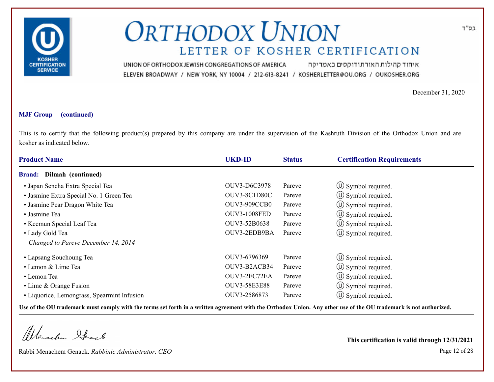

איחוד קהילות האורתודוקסים באמריקה UNION OF ORTHODOX JEWISH CONGREGATIONS OF AMERICA ELEVEN BROADWAY / NEW YORK, NY 10004 / 212-613-8241 / KOSHERLETTER@OU.ORG / OUKOSHER.ORG

December 31, 2020

#### **MJF Group (continued)**

This is to certify that the following product(s) prepared by this company are under the supervision of the Kashruth Division of the Orthodox Union and are kosher as indicated below.

| <b>Product Name</b>                         | <b>UKD-ID</b>       | <b>Status</b> | <b>Certification Requirements</b> |
|---------------------------------------------|---------------------|---------------|-----------------------------------|
| Dilmah (continued)<br><b>Brand:</b>         |                     |               |                                   |
| · Japan Sencha Extra Special Tea            | OUV3-D6C3978        | Pareve        | $\circ$ Symbol required.          |
| · Jasmine Extra Special No. 1 Green Tea     | OUV3-8C1D80C        | Pareve        | $\circ$ Symbol required.          |
| • Jasmine Pear Dragon White Tea             | <b>OUV3-909CCB0</b> | Pareve        | $\circ$ Symbol required.          |
| • Jasmine Tea                               | <b>OUV3-1008FED</b> | Pareve        | $\circled{1}$ Symbol required.    |
| • Keemun Special Leaf Tea                   | OUV3-52B0638        | Pareve        | $\circ$ Symbol required.          |
| • Lady Gold Tea                             | OUV3-2EDB9BA        | Pareve        | $\circ$ Symbol required.          |
| Changed to Pareve December 14, 2014         |                     |               |                                   |
| • Lapsang Souchoung Tea                     | OUV3-6796369        | Pareve        | $\circ$ Symbol required.          |
| • Lemon & Lime Tea                          | OUV3-B2ACB34        | Pareve        | $\circ$ Symbol required.          |
| • Lemon Tea                                 | OUV3-2EC72EA        | Pareve        | $\circ$ Symbol required.          |
| • Lime & Orange Fusion                      | <b>OUV3-58E3E88</b> | Pareve        | $\circ$ Symbol required.          |
| • Liquorice, Lemongrass, Spearmint Infusion | OUV3-2586873        | Pareve        | $\circ$ Symbol required.          |

**Use of the OU trademark must comply with the terms set forth in a written agreement with the Orthodox Union. Any other use of the OU trademark is not authorized.**

Werschn Heark

Rabbi Menachem Genack, *Rabbinic Administrator, CEO* Page 12 of 28

**This certification is valid through 12/31/2021**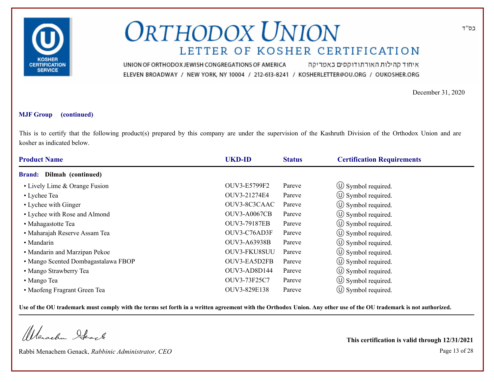

איחוד קהילות האורתודוקסים באמריקה UNION OF ORTHODOX JEWISH CONGREGATIONS OF AMERICA ELEVEN BROADWAY / NEW YORK, NY 10004 / 212-613-8241 / KOSHERLETTER@OU.ORG / OUKOSHER.ORG

December 31, 2020

#### **MJF Group (continued)**

This is to certify that the following product(s) prepared by this company are under the supervision of the Kashruth Division of the Orthodox Union and are kosher as indicated below.

| <b>Product Name</b>                 | <b>UKD-ID</b>       | <b>Status</b> | <b>Certification Requirements</b> |  |
|-------------------------------------|---------------------|---------------|-----------------------------------|--|
| <b>Brand:</b> Dilmah (continued)    |                     |               |                                   |  |
| • Lively Lime & Orange Fusion       | OUV3-E5799F2        | Pareve        | $\circled{1}$ Symbol required.    |  |
| • Lychee Tea                        | OUV3-21274E4        | Pareve        | $\circ$ Symbol required.          |  |
| • Lychee with Ginger                | OUV3-8C3CAAC        | Pareve        | $\circled{0}$ Symbol required.    |  |
| • Lychee with Rose and Almond       | <b>OUV3-A0067CB</b> | Pareve        | $\circ$ Symbol required.          |  |
| • Mahagastotte Tea                  | <b>OUV3-79187EB</b> | Pareve        | $\circ$ Symbol required.          |  |
| • Maharajah Reserve Assam Tea       | OUV3-C76AD3F        | Pareve        | $\circ$ Symbol required.          |  |
| • Mandarin                          | <b>OUV3-A63938B</b> | Pareve        | $\circ$ Symbol required.          |  |
| • Mandarin and Marzipan Pekoe       | OUV3-FKU8SUU        | Pareve        | (U) Symbol required.              |  |
| • Mango Scented Dombagastalawa FBOP | OUV3-EA5D2FB        | Pareve        | $\circled{1}$ Symbol required.    |  |
| • Mango Strawberry Tea              | OUV3-AD8D144        | Pareve        | $\circ$ Symbol required.          |  |
| • Mango Tea                         | OUV3-73F25C7        | Pareve        | $\circ$ Symbol required.          |  |
| • Maofeng Fragrant Green Tea        | OUV3-829E138        | Pareve        | $\circ$ Symbol required.          |  |

**Use of the OU trademark must comply with the terms set forth in a written agreement with the Orthodox Union. Any other use of the OU trademark is not authorized.**

Werachen Ifeart

Rabbi Menachem Genack, *Rabbinic Administrator, CEO* Page 13 of 28

**This certification is valid through 12/31/2021**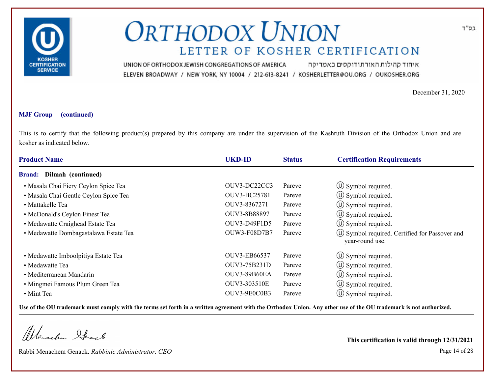

איחוד קהילות האורתודוקסים באמריקה UNION OF ORTHODOX JEWISH CONGREGATIONS OF AMERICA ELEVEN BROADWAY / NEW YORK, NY 10004 / 212-613-8241 / KOSHERLETTER@OU.ORG / OUKOSHER.ORG

December 31, 2020

#### **MJF Group (continued)**

This is to certify that the following product(s) prepared by this company are under the supervision of the Kashruth Division of the Orthodox Union and are kosher as indicated below.

| <b>Product Name</b>                   | <b>UKD-ID</b> | <b>Status</b> | <b>Certification Requirements</b>                                  |
|---------------------------------------|---------------|---------------|--------------------------------------------------------------------|
| Dilmah (continued)<br><b>Brand:</b>   |               |               |                                                                    |
| • Masala Chai Fiery Ceylon Spice Tea  | OUV3-DC22CC3  | Pareve        | $\circ$ Symbol required.                                           |
| · Masala Chai Gentle Ceylon Spice Tea | OUV3-BC25781  | Pareve        | $\circ$ Symbol required.                                           |
| • Mattakelle Tea                      | OUV3-8367271  | Pareve        | $\circ$ Symbol required.                                           |
| • McDonald's Ceylon Finest Tea        | OUV3-8B88897  | Pareve        | $\circ$ Symbol required.                                           |
| • Medawatte Craighead Estate Tea      | OUV3-D49F1D5  | Pareve        | $\circ$ Symbol required.                                           |
| • Medawatte Dombagastalawa Estate Tea | OUW3-F08D7B7  | Pareve        | (U) Symbol required. Certified for Passover and<br>year-round use. |
| • Medawatte Imboolpitiya Estate Tea   | OUV3-EB66537  | Pareve        | $\circ$ Symbol required.                                           |
| • Medawatte Tea                       | OUV3-75B231D  | Pareve        | $\circ$ Symbol required.                                           |
| • Mediterranean Mandarin              | OUV3-89B60EA  | Pareve        | $\circ$ Symbol required.                                           |
| • Mingmei Famous Plum Green Tea       | OUV3-303510E  | Pareve        | $\left(\bigcup$ Symbol required.                                   |
| • Mint Tea                            | OUV3-9E0C0B3  | Pareve        | $\circ$ Symbol required.                                           |

**Use of the OU trademark must comply with the terms set forth in a written agreement with the Orthodox Union. Any other use of the OU trademark is not authorized.**

Werschn Heark

Rabbi Menachem Genack, *Rabbinic Administrator, CEO* Page 14 of 28

**This certification is valid through 12/31/2021**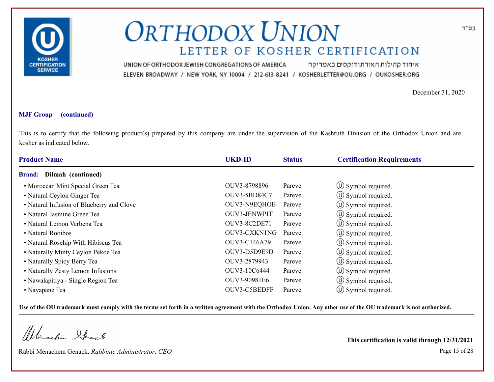

איחוד קהילות האורתודוקסים באמריקה UNION OF ORTHODOX JEWISH CONGREGATIONS OF AMERICA ELEVEN BROADWAY / NEW YORK, NY 10004 / 212-613-8241 / KOSHERLETTER@OU.ORG / OUKOSHER.ORG

December 31, 2020

#### **MJF Group (continued)**

This is to certify that the following product(s) prepared by this company are under the supervision of the Kashruth Division of the Orthodox Union and are kosher as indicated below.

| <b>Product Name</b>                       | <b>UKD-ID</b>       | <b>Status</b> | <b>Certification Requirements</b> |  |  |
|-------------------------------------------|---------------------|---------------|-----------------------------------|--|--|
| Dilmah (continued)<br><b>Brand:</b>       |                     |               |                                   |  |  |
| • Moroccan Mint Special Green Tea         | OUV3-8798896        | Pareve        | $\circ$ Symbol required.          |  |  |
| • Natural Ceylon Ginger Tea               | OUV3-5BD84C7        | Pareve        | $\circ$ Symbol required.          |  |  |
| • Natural Infusion of Blueberry and Clove | OUV3-N9EQHOE        | Pareve        | $\circled{1}$ Symbol required.    |  |  |
| • Natural Jasmine Green Tea               | OUV3-JENWPIT        | Pareve        | $\circ$ Symbol required.          |  |  |
| • Natural Lemon Verbena Tea               | <b>OUV3-8C2DE71</b> | Pareve        | $\circ$ Symbol required.          |  |  |
| • Natural Rooibos                         | OUV3-CXKN1NG        | Pareve        | (U) Symbol required.              |  |  |
| • Natural Rosehip With Hibiscus Tea       | OUV3-C146A79        | Pareve        | $\circ$ Symbol required.          |  |  |
| • Naturally Minty Ceylon Pekoe Tea        | OUV3-D5D9E9D        | Pareve        | (U) Symbol required.              |  |  |
| • Naturally Spicy Berry Tea               | OUV3-2879943        | Pareve        | $\circled{1}$ Symbol required.    |  |  |
| • Naturally Zesty Lemon Infusions         | OUV3-10C6444        | Pareve        | $\circled{1}$ Symbol required.    |  |  |
| • Nawalapitiya - Single Region Tea        | OUV3-90981E6        | Pareve        | $\circ$ Symbol required.          |  |  |
| • Nayapane Tea                            | OUV3-C5BEDFF        | Pareve        | $\circ$ Symbol required.          |  |  |

**Use of the OU trademark must comply with the terms set forth in a written agreement with the Orthodox Union. Any other use of the OU trademark is not authorized.**

Werachen Ifeart

Rabbi Menachem Genack, *Rabbinic Administrator, CEO* Page 15 of 28

**This certification is valid through 12/31/2021**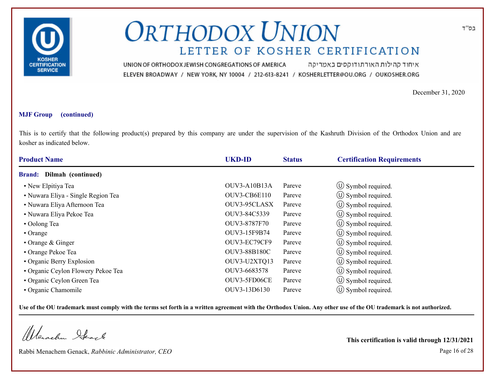

איחוד קהילות האורתודוקסים באמריקה UNION OF ORTHODOX JEWISH CONGREGATIONS OF AMERICA ELEVEN BROADWAY / NEW YORK, NY 10004 / 212-613-8241 / KOSHERLETTER@OU.ORG / OUKOSHER.ORG

December 31, 2020

#### **MJF Group (continued)**

This is to certify that the following product(s) prepared by this company are under the supervision of the Kashruth Division of the Orthodox Union and are kosher as indicated below.

| <b>Product Name</b>                | <b>UKD-ID</b>       | <b>Status</b> | <b>Certification Requirements</b> |
|------------------------------------|---------------------|---------------|-----------------------------------|
| <b>Brand:</b> Dilmah (continued)   |                     |               |                                   |
| • New Elpitiya Tea                 | <b>OUV3-A10B13A</b> | Pareve        | $\circled{1}$ Symbol required.    |
| • Nuwara Eliya - Single Region Tea | OUV3-CB6E110        | Pareve        | $\circ$ Symbol required.          |
| • Nuwara Eliya Afternoon Tea       | OUV3-95CLASX        | Pareve        | $\circ$ Symbol required.          |
| • Nuwara Eliya Pekoe Tea           | OUV3-84C5339        | Pareve        | $\circ$ Symbol required.          |
| • Oolong Tea                       | OUV3-8787F70        | Pareve        | $\circ$ Symbol required.          |
| $\cdot$ Orange                     | OUV3-15F9B74        | Pareve        | $(\cup)$ Symbol required.         |
| $\cdot$ Orange & Ginger            | OUV3-EC79CF9        | Pareve        | $\circ$ Symbol required.          |
| • Orange Pekoe Tea                 | <b>OUV3-88B180C</b> | Pareve        | $\circ$ Symbol required.          |
| • Organic Berry Explosion          | OUV3-U2XTQ13        | Pareve        | $\circ$ Symbol required.          |
| • Organic Ceylon Flowery Pekoe Tea | OUV3-6683578        | Pareve        | $\circ$ Symbol required.          |
| • Organic Ceylon Green Tea         | OUV3-5FD06CE        | Pareve        | $\circ$ Symbol required.          |
| • Organic Chamomile                | OUV3-13D6130        | Pareve        | $\circ$ Symbol required.          |

**Use of the OU trademark must comply with the terms set forth in a written agreement with the Orthodox Union. Any other use of the OU trademark is not authorized.**

Werachen Ifeart

Rabbi Menachem Genack, *Rabbinic Administrator, CEO* Page 16 of 28

**This certification is valid through 12/31/2021**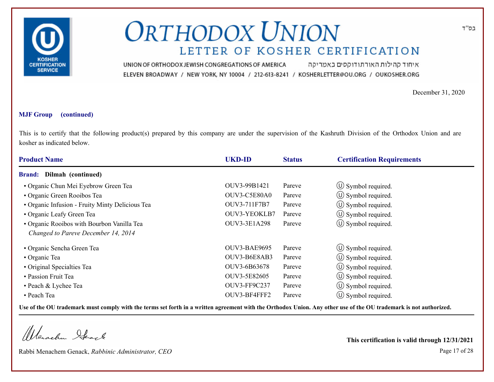

איחוד קהילות האורתודוקסים באמריקה UNION OF ORTHODOX JEWISH CONGREGATIONS OF AMERICA ELEVEN BROADWAY / NEW YORK, NY 10004 / 212-613-8241 / KOSHERLETTER@OU.ORG / OUKOSHER.ORG

December 31, 2020

#### **MJF Group (continued)**

This is to certify that the following product(s) prepared by this company are under the supervision of the Kashruth Division of the Orthodox Union and are kosher as indicated below.

| <b>Product Name</b>                             | <b>UKD-ID</b>       | <b>Status</b> | <b>Certification Requirements</b> |
|-------------------------------------------------|---------------------|---------------|-----------------------------------|
| Dilmah (continued)<br><b>Brand:</b>             |                     |               |                                   |
| · Organic Chun Mei Eyebrow Green Tea            | OUV3-99B1421        | Pareve        | $\circ$ Symbol required.          |
| • Organic Green Rooibos Tea                     | OUV3-C5E80A0        | Pareve        | $\circ$ Symbol required.          |
| · Organic Infusion - Fruity Minty Delicious Tea | OUV3-711F7B7        | Pareve        | $\circ$ Symbol required.          |
| • Organic Leafy Green Tea                       | OUV3-YEOKLB7        | Pareve        | (U) Symbol required.              |
| • Organic Rooibos with Bourbon Vanilla Tea      | OUV3-3E1A298        | Pareve        | $\circ$ Symbol required.          |
| Changed to Pareve December 14, 2014             |                     |               |                                   |
| • Organic Sencha Green Tea                      | <b>OUV3-BAE9695</b> | Pareve        | $\circ$ Symbol required.          |
| • Organic Tea                                   | OUV3-B6E8AB3        | Pareve        | $\circ$ Symbol required.          |
| • Original Specialties Tea                      | OUV3-6B63678        | Pareve        | $\circ$ Symbol required.          |
| • Passion Fruit Tea                             | OUV3-5E82605        | Pareve        | $\circ$ Symbol required.          |
| • Peach & Lychee Tea                            | OUV3-FF9C237        | Pareve        | $\circ$ Symbol required.          |
| • Peach Tea                                     | OUV3-BF4FFF2        | Pareve        | $\circ$ Symbol required.          |

**Use of the OU trademark must comply with the terms set forth in a written agreement with the Orthodox Union. Any other use of the OU trademark is not authorized.**

Werachen Ifearle

Rabbi Menachem Genack, *Rabbinic Administrator, CEO* Page 17 of 28

**This certification is valid through 12/31/2021**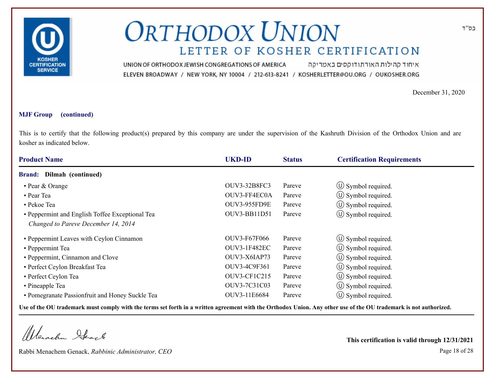

איחוד קהילות האורתודוקסים באמריקה UNION OF ORTHODOX JEWISH CONGREGATIONS OF AMERICA ELEVEN BROADWAY / NEW YORK, NY 10004 / 212-613-8241 / KOSHERLETTER@OU.ORG / OUKOSHER.ORG

December 31, 2020

#### **MJF Group (continued)**

This is to certify that the following product(s) prepared by this company are under the supervision of the Kashruth Division of the Orthodox Union and are kosher as indicated below.

| <b>Product Name</b>                             | <b>UKD-ID</b>       | <b>Status</b> | <b>Certification Requirements</b> |  |
|-------------------------------------------------|---------------------|---------------|-----------------------------------|--|
| <b>Brand:</b> Dilmah (continued)                |                     |               |                                   |  |
| • Pear & Orange                                 | OUV3-32B8FC3        | Pareve        | $\circ$ Symbol required.          |  |
| • Pear Tea                                      | OUV3-FF4EC0A        | Pareve        | $\circ$ Symbol required.          |  |
| • Pekoe Tea                                     | OUV3-955FD9E        | Pareve        | $\circ$ Symbol required.          |  |
| • Peppermint and English Toffee Exceptional Tea | OUV3-BB11D51        | Pareve        | $\circ$ Symbol required.          |  |
| Changed to Pareve December 14, 2014             |                     |               |                                   |  |
| • Peppermint Leaves with Ceylon Cinnamon        | <b>OUV3-F67F066</b> | Pareve        | $\circ$ Symbol required.          |  |
| • Peppermint Tea                                | <b>OUV3-1F482EC</b> | Pareve        | $\circ$ Symbol required.          |  |
| • Peppermint, Cinnamon and Clove                | OUV3-X6IAP73        | Pareve        | $\circ$ Symbol required.          |  |
| • Perfect Ceylon Breakfast Tea                  | OUV3-4C9F361        | Pareve        | $\circ$ Symbol required.          |  |
| • Perfect Ceylon Tea                            | OUV3-CF1C215        | Pareve        | $\circled{1}$ Symbol required.    |  |
| • Pineapple Tea                                 | OUV3-7C31C03        | Pareve        | $\circ$ Symbol required.          |  |
| • Pomegranate Passionfruit and Honey Suckle Tea | OUV3-11E6684        | Pareve        | $\circ$ Symbol required.          |  |

**Use of the OU trademark must comply with the terms set forth in a written agreement with the Orthodox Union. Any other use of the OU trademark is not authorized.**

Werschn Heark

Rabbi Menachem Genack, *Rabbinic Administrator, CEO* Page 18 of 28

**This certification is valid through 12/31/2021**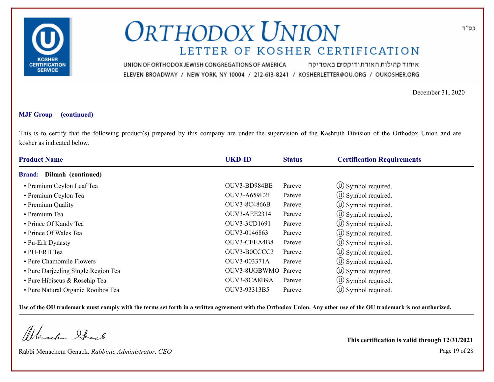

איחוד קהילות האורתודוקסים באמריקה UNION OF ORTHODOX JEWISH CONGREGATIONS OF AMERICA ELEVEN BROADWAY / NEW YORK, NY 10004 / 212-613-8241 / KOSHERLETTER@OU.ORG / OUKOSHER.ORG

December 31, 2020

#### **MJF Group (continued)**

This is to certify that the following product(s) prepared by this company are under the supervision of the Kashruth Division of the Orthodox Union and are kosher as indicated below.

| <b>Product Name</b>                 | <b>UKD-ID</b>       | <b>Status</b> | <b>Certification Requirements</b> |
|-------------------------------------|---------------------|---------------|-----------------------------------|
| <b>Brand:</b> Dilmah (continued)    |                     |               |                                   |
| • Premium Ceylon Leaf Tea           | OUV3-BD984BE        | Pareve        | $\circ$ Symbol required.          |
| • Premium Ceylon Tea                | OUV3-A659E21        | Pareve        | $\circled{1}$ Symbol required.    |
| • Premium Quality                   | <b>OUV3-8C4866B</b> | Pareve        | $\circled{1}$ Symbol required.    |
| • Premium Tea                       | OUV3-AEE2314        | Pareve        | $\circ$ Symbol required.          |
| • Prince Of Kandy Tea               | OUV3-3CD1691        | Pareve        | $\circ$ Symbol required.          |
| • Prince Of Wales Tea               | OUV3-0146863        | Pareve        | $\circ$ Symbol required.          |
| • Pu-Erh Dynasty                    | OUV3-CEEA4B8        | Pareve        | $\circ$ Symbol required.          |
| $\bullet$ PU-ERH Tea                | OUV3-B0CCCC3        | Pareve        | (U) Symbol required.              |
| • Pure Chamomile Flowers            | OUV3-003371A        | Pareve        | $\circ$ Symbol required.          |
| • Pure Darjeeling Single Region Tea | OUV3-8UGBWMO Pareve |               | $\circ$ Symbol required.          |
| • Pure Hibiscus & Rosehip Tea       | OUV3-8CA8B9A        | Pareve        | $\circled{1}$ Symbol required.    |
| • Pure Natural Organic Rooibos Tea  | OUV3-93313B5        | Pareve        | $(\cup)$ Symbol required.         |

**Use of the OU trademark must comply with the terms set forth in a written agreement with the Orthodox Union. Any other use of the OU trademark is not authorized.**

Werachen Ifeart

Rabbi Menachem Genack, *Rabbinic Administrator, CEO* Page 19 of 28

**This certification is valid through 12/31/2021**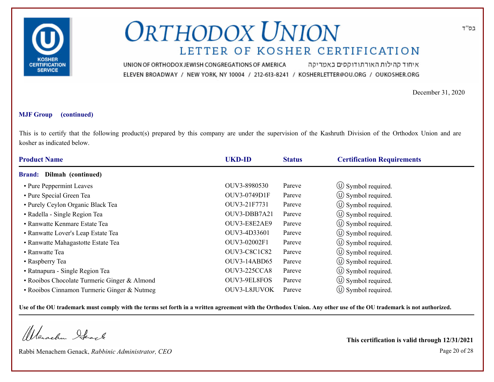

איחוד קהילות האורתודוקסים באמריקה UNION OF ORTHODOX JEWISH CONGREGATIONS OF AMERICA ELEVEN BROADWAY / NEW YORK, NY 10004 / 212-613-8241 / KOSHERLETTER@OU.ORG / OUKOSHER.ORG

December 31, 2020

#### **MJF Group (continued)**

This is to certify that the following product(s) prepared by this company are under the supervision of the Kashruth Division of the Orthodox Union and are kosher as indicated below.

| <b>Product Name</b>                          | <b>UKD-ID</b>       | <b>Status</b> | <b>Certification Requirements</b> |  |  |
|----------------------------------------------|---------------------|---------------|-----------------------------------|--|--|
| Dilmah (continued)<br><b>Brand:</b>          |                     |               |                                   |  |  |
| • Pure Peppermint Leaves                     | OUV3-8980530        | Pareve        | $\circled{1}$ Symbol required.    |  |  |
| • Pure Special Green Tea                     | OUV3-0749D1F        | Pareve        | $\circ$ Symbol required.          |  |  |
| • Purely Ceylon Organic Black Tea            | OUV3-21F7731        | Pareve        | $\circled{1}$ Symbol required.    |  |  |
| • Radella - Single Region Tea                | OUV3-DBB7A21        | Pareve        | $\circ$ Symbol required.          |  |  |
| • Ranwatte Kenmare Estate Tea                | OUV3-E8E2AE9        | Pareve        | $\circ$ Symbol required.          |  |  |
| • Ranwatte Lover's Leap Estate Tea           | OUV3-4D33601        | Pareve        | $\circ$ Symbol required.          |  |  |
| • Ranwatte Mahagastotte Estate Tea           | OUV3-02002F1        | Pareve        | $\circ$ Symbol required.          |  |  |
| • Ranwatte Tea                               | <b>OUV3-C8C1C82</b> | Pareve        | (U) Symbol required.              |  |  |
| • Raspberry Tea                              | OUV3-14ABD65        | Pareve        | $\circ$ Symbol required.          |  |  |
| • Ratnapura - Single Region Tea              | <b>OUV3-225CCA8</b> | Pareve        | $\circ$ Symbol required.          |  |  |
| • Rooibos Chocolate Turmeric Ginger & Almond | OUV3-9EL8FOS        | Pareve        | $\circ$ Symbol required.          |  |  |
| • Rooibos Cinnamon Turmeric Ginger & Nutmeg  | OUV3-L8JUVOK        | Pareve        | $\cup$ Symbol required.           |  |  |

**Use of the OU trademark must comply with the terms set forth in a written agreement with the Orthodox Union. Any other use of the OU trademark is not authorized.**

Werachen Stack

Rabbi Menachem Genack, *Rabbinic Administrator, CEO* Page 20 of 28

**This certification is valid through 12/31/2021**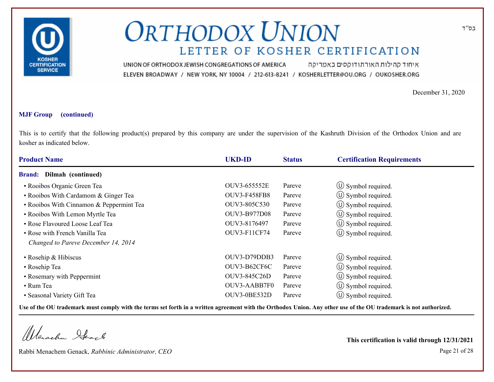

איחוד קהילות האורתודוקסים באמריקה UNION OF ORTHODOX JEWISH CONGREGATIONS OF AMERICA ELEVEN BROADWAY / NEW YORK, NY 10004 / 212-613-8241 / KOSHERLETTER@OU.ORG / OUKOSHER.ORG

December 31, 2020

#### **MJF Group (continued)**

This is to certify that the following product(s) prepared by this company are under the supervision of the Kashruth Division of the Orthodox Union and are kosher as indicated below.

| <b>Product Name</b>                      | <b>UKD-ID</b>       | <b>Status</b> | <b>Certification Requirements</b> |
|------------------------------------------|---------------------|---------------|-----------------------------------|
| Dilmah (continued)<br><b>Brand:</b>      |                     |               |                                   |
| • Rooibos Organic Green Tea              | OUV3-655552E        | Pareve        | $\circ$ Symbol required.          |
| • Rooibos With Cardamom & Ginger Tea     | <b>OUV3-F458FB8</b> | Pareve        | $\circ$ Symbol required.          |
| • Rooibos With Cinnamon & Peppermint Tea | OUV3-805C530        | Pareve        | $\circ$ Symbol required.          |
| • Rooibos With Lemon Myrtle Tea          | OUV3-B977D08        | Pareve        | $\circled{1}$ Symbol required.    |
| • Rose Flavoured Loose Leaf Tea          | OUV3-8176497        | Pareve        | $\circ$ Symbol required.          |
| • Rose with French Vanilla Tea           | OUV3-F11CF74        | Pareve        | $\circled{1}$ Symbol required.    |
| Changed to Pareve December 14, 2014      |                     |               |                                   |
| • Rosehip & Hibiscus                     | OUV3-D79DDB3        | Pareve        | $\circ$ Symbol required.          |
| • Rosehip Tea                            | OUV3-B62CF6C        | Pareve        | $\circled{1}$ Symbol required.    |
| • Rosemary with Peppermint               | OUV3-845C26D        | Pareve        | $\circ$ Symbol required.          |
| • Rum Tea                                | OUV3-AABB7F0        | Pareve        | $\circled{1}$ Symbol required.    |
| • Seasonal Variety Gift Tea              | OUV3-0BE532D        | Pareve        | $\circ$ Symbol required.          |

**Use of the OU trademark must comply with the terms set forth in a written agreement with the Orthodox Union. Any other use of the OU trademark is not authorized.**

Werschn Heark

Rabbi Menachem Genack, *Rabbinic Administrator, CEO* Page 21 of 28

**This certification is valid through 12/31/2021**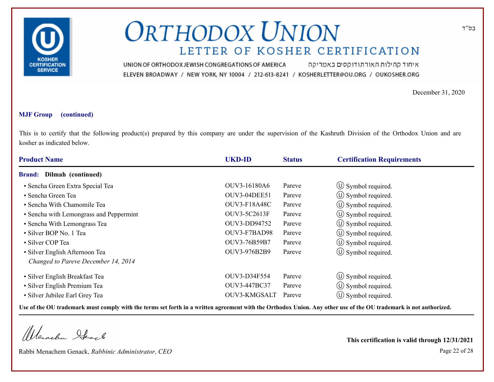

איחוד קהילות האורתודוקסים באמריקה UNION OF ORTHODOX JEWISH CONGREGATIONS OF AMERICA ELEVEN BROADWAY / NEW YORK, NY 10004 / 212-613-8241 / KOSHERLETTER@OU.ORG / OUKOSHER.ORG

December 31, 2020

#### **MJF Group (continued)**

This is to certify that the following product(s) prepared by this company are under the supervision of the Kashruth Division of the Orthodox Union and are kosher as indicated below.

| <b>Product Name</b>                     | <b>UKD-ID</b>       | <b>Status</b> | <b>Certification Requirements</b> |  |
|-----------------------------------------|---------------------|---------------|-----------------------------------|--|
| <b>Brand:</b> Dilmah (continued)        |                     |               |                                   |  |
| · Sencha Green Extra Special Tea        | OUV3-16180A6        | Pareve        | $\circ$ Symbol required.          |  |
| • Sencha Green Tea                      | <b>OUV3-04DEE51</b> | Pareve        | $\circled{1}$ Symbol required.    |  |
| • Sencha With Chamomile Tea             | <b>OUV3-F18A48C</b> | Pareve        | $\circ$ Symbol required.          |  |
| • Sencha with Lemongrass and Peppermint | OUV3-5C2613F        | Pareve        | $\circ$ Symbol required.          |  |
| • Sencha With Lemongrass Tea            | OUV3-DD94752        | Pareve        | $\circ$ Symbol required.          |  |
| • Silver BOP No. 1 Tea                  | OUV3-F7BAD98        | Pareve        | $\circ$ Symbol required.          |  |
| • Silver COP Tea                        | OUV3-76B59B7        | Pareve        | $\circ$ Symbol required.          |  |
| • Silver English Afternoon Tea          | OUV3-976B2B9        | Pareve        | $\circled{1}$ Symbol required.    |  |
| Changed to Pareve December 14, 2014     |                     |               |                                   |  |
| • Silver English Breakfast Tea          | OUV3-D34F554        | Pareve        | $\circled{1}$ Symbol required.    |  |
| • Silver English Premium Tea            | OUV3-447BC37        | Pareve        | $\circ$ Symbol required.          |  |
| · Silver Jubilee Earl Grey Tea          | OUV3-KMGSALT        | Pareve        | $(U)$ Symbol required.            |  |

**Use of the OU trademark must comply with the terms set forth in a written agreement with the Orthodox Union. Any other use of the OU trademark is not authorized.**

Werachen Stack

Rabbi Menachem Genack, *Rabbinic Administrator, CEO* Page 22 of 28

**This certification is valid through 12/31/2021**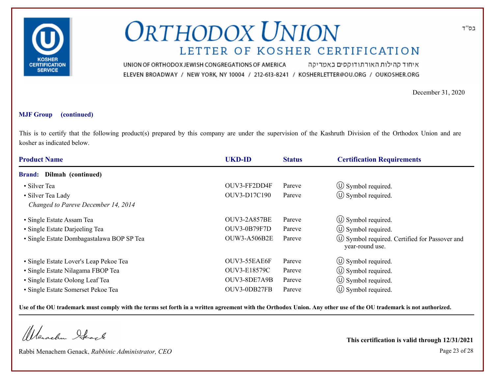

איחוד קהילות האורתודוקסים באמריקה UNION OF ORTHODOX JEWISH CONGREGATIONS OF AMERICA ELEVEN BROADWAY / NEW YORK, NY 10004 / 212-613-8241 / KOSHERLETTER@OU.ORG / OUKOSHER.ORG

December 31, 2020

#### **MJF Group (continued)**

This is to certify that the following product(s) prepared by this company are under the supervision of the Kashruth Division of the Orthodox Union and are kosher as indicated below.

| <b>Product Name</b>                       | <b>UKD-ID</b>       | <b>Status</b> | <b>Certification Requirements</b>                                  |
|-------------------------------------------|---------------------|---------------|--------------------------------------------------------------------|
| Dilmah (continued)<br><b>Brand:</b>       |                     |               |                                                                    |
| • Silver Tea                              | OUV3-FF2DD4F        | Pareve        | $\circ$ Symbol required.                                           |
| · Silver Tea Lady                         | OUV3-D17C190        | Pareve        | $\circ$ Symbol required.                                           |
| Changed to Pareve December 14, 2014       |                     |               |                                                                    |
| • Single Estate Assam Tea                 | <b>OUV3-2A857BE</b> | Pareve        | $\circ$ Symbol required.                                           |
| • Single Estate Darjeeling Tea            | <b>OUV3-0B79F7D</b> | Pareve        | $\circ$ Symbol required.                                           |
| · Single Estate Dombagastalawa BOP SP Tea | <b>OUW3-A506B2E</b> | Pareve        | (U) Symbol required. Certified for Passover and<br>year-round use. |
| • Single Estate Lover's Leap Pekoe Tea    | OUV3-55EAE6F        | Pareve        | $\circled{1}$ Symbol required.                                     |
| • Single Estate Nilagama FBOP Tea         | OUV3-E18579C        | Pareve        | $\circ$ Symbol required.                                           |
| • Single Estate Oolong Leaf Tea           | OUV3-8DE7A9B        | Pareve        | $\circled{1}$ Symbol required.                                     |
| • Single Estate Somerset Pekoe Tea        | OUV3-0DB27FB        | Pareve        | $\circ$ Symbol required.                                           |

**Use of the OU trademark must comply with the terms set forth in a written agreement with the Orthodox Union. Any other use of the OU trademark is not authorized.**

Werachen Ifearle

Rabbi Menachem Genack, *Rabbinic Administrator, CEO* Page 23 of 28

**This certification is valid through 12/31/2021**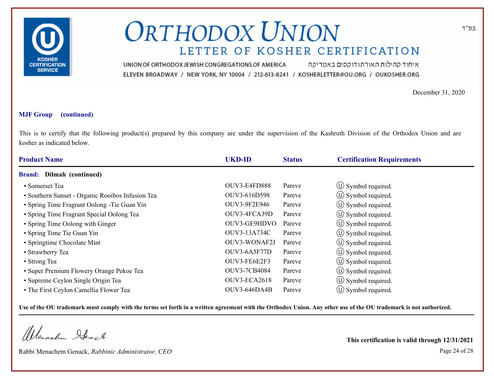

איחוד קהילות האורתודוקסים באמריקה UNION OF ORTHODOX JEWISH CONGREGATIONS OF AMERICA ELEVEN BROADWAY / NEW YORK, NY 10004 / 212-613-8241 / KOSHERLETTER@OU.ORG / OUKOSHER.ORG

December 31, 2020

#### **MJF Group (continued)**

This is to certify that the following product(s) prepared by this company are under the supervision of the Kashruth Division of the Orthodox Union and are kosher as indicated below.

| <b>Product Name</b>                              | <b>UKD-ID</b>       | <b>Status</b> | <b>Certification Requirements</b> |
|--------------------------------------------------|---------------------|---------------|-----------------------------------|
| Dilmah (continued)<br><b>Brand:</b>              |                     |               |                                   |
| • Somerset Tea                                   | OUV3-E4FD888        | Pareve        | $\circled{1}$ Symbol required.    |
| • Southern Sunset - Organic Rooibos Infusion Tea | OUV3-616D598        | Pareve        | $\circ$ Symbol required.          |
| • Spring Time Fragrant Oolong - Tie Guan Yin     | OUV3-9F2E946        | Pareve        | $\circ$ Symbol required.          |
| • Spring Time Fragrant Special Oolong Tea        | OUV3-4FCA39D        | Pareve        | $\circ$ Symbol required.          |
| • Spring Time Oolong with Ginger                 | OUV3-GE9HDVO        | Pareve        | $\circ$ Symbol required.          |
| • Spring Time Tie Guan Yin                       | OUV3-13A734C        | Pareve        | $(\cup)$ Symbol required.         |
| • Springtime Chocolate Mint                      | OUV3-WONAF2J        | Pareve        | $\circ$ Symbol required.          |
| • Strawberry Tea                                 | OUV3-6A5F77D        | Pareve        | $\circ$ Symbol required.          |
| • Strong Tea                                     | OUV3-FE6E2F3        | Pareve        | $\circled{1}$ Symbol required.    |
| • Super Premium Flowery Orange Pekoe Tea         | <b>OUV3-7CB4084</b> | Pareve        | $\circ$ Symbol required.          |
| • Supreme Ceylon Single Origin Tea               | OUV3-ECA2618        | Pareve        | $\circ$ Symbol required.          |
| • The First Ceylon Camellia Flower Tea           | OUV3-646DA4B        | Pareve        | $\circ$ Symbol required.          |

**Use of the OU trademark must comply with the terms set forth in a written agreement with the Orthodox Union. Any other use of the OU trademark is not authorized.**

Werachen Ifeart

Rabbi Menachem Genack, *Rabbinic Administrator, CEO* Page 24 of 28

**This certification is valid through 12/31/2021**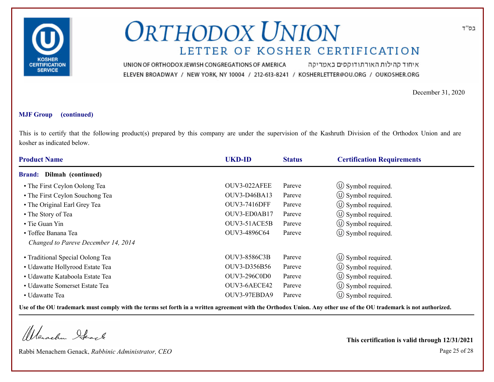

איחוד קהילות האורתודוקסים באמריקה UNION OF ORTHODOX JEWISH CONGREGATIONS OF AMERICA ELEVEN BROADWAY / NEW YORK, NY 10004 / 212-613-8241 / KOSHERLETTER@OU.ORG / OUKOSHER.ORG

December 31, 2020

#### **MJF Group (continued)**

This is to certify that the following product(s) prepared by this company are under the supervision of the Kashruth Division of the Orthodox Union and are kosher as indicated below.

| <b>Product Name</b>                 | <b>UKD-ID</b>       | <b>Status</b> | <b>Certification Requirements</b> |
|-------------------------------------|---------------------|---------------|-----------------------------------|
| Dilmah (continued)<br><b>Brand:</b> |                     |               |                                   |
| • The First Ceylon Oolong Tea       | OUV3-022AFEE        | Pareve        | $\circ$ Symbol required.          |
| • The First Ceylon Souchong Tea     | OUV3-D46BA13        | Pareve        | $\circ$ Symbol required.          |
| • The Original Earl Grey Tea        | <b>OUV3-7416DFF</b> | Pareve        | $\circled{1}$ Symbol required.    |
| • The Story of Tea                  | OUV3-ED0AB17        | Pareve        | $\circ$ Symbol required.          |
| • Tie Guan Yin                      | OUV3-51ACE5B        | Pareve        | $\circ$ Symbol required.          |
| • Toffee Banana Tea                 | OUV3-4896C64        | Pareve        | $\circ$ Symbol required.          |
| Changed to Pareve December 14, 2014 |                     |               |                                   |
| • Traditional Special Oolong Tea    | OUV3-8586C3B        | Pareve        | $\circ$ Symbol required.          |
| • Udawatte Hollyrood Estate Tea     | OUV3-D356B56        | Pareve        | $\circ$ Symbol required.          |
| • Udawatte Kataboola Estate Tea     | <b>OUV3-296C0D0</b> | Pareve        | $\circled{1}$ Symbol required.    |
| • Udawatte Somerset Estate Tea      | OUV3-6AECE42        | Pareve        | $\circ$ Symbol required.          |
| • Udawatte Tea                      | OUV3-97EBDA9        | Pareve        | $\circ$ Symbol required.          |

**Use of the OU trademark must comply with the terms set forth in a written agreement with the Orthodox Union. Any other use of the OU trademark is not authorized.**

Werachen Ifearle

Rabbi Menachem Genack, *Rabbinic Administrator, CEO* Page 25 of 28

**This certification is valid through 12/31/2021**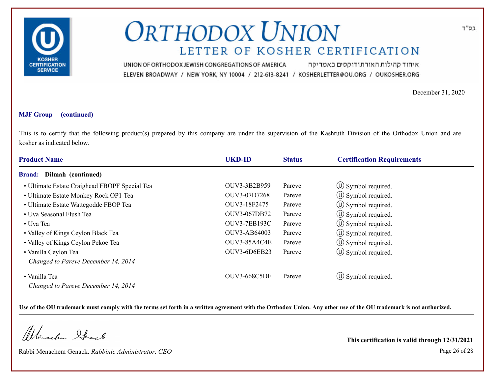

איחוד קהילות האורתודוקסים באמריקה UNION OF ORTHODOX JEWISH CONGREGATIONS OF AMERICA ELEVEN BROADWAY / NEW YORK, NY 10004 / 212-613-8241 / KOSHERLETTER@OU.ORG / OUKOSHER.ORG

December 31, 2020

#### **MJF Group (continued)**

This is to certify that the following product(s) prepared by this company are under the supervision of the Kashruth Division of the Orthodox Union and are kosher as indicated below.

| <b>Product Name</b>                           | <b>UKD-ID</b>       | <b>Status</b> | <b>Certification Requirements</b> |
|-----------------------------------------------|---------------------|---------------|-----------------------------------|
| <b>Brand:</b> Dilmah (continued)              |                     |               |                                   |
| • Ultimate Estate Craighead FBOPF Special Tea | OUV3-3B2B959        | Pareve        | $\circ$ Symbol required.          |
| • Ultimate Estate Monkey Rock OP1 Tea         | OUV3-07D7268        | Pareve        | $\circ$ Symbol required.          |
| • Ultimate Estate Wattegodde FBOP Tea         | OUV3-18F2475        | Pareve        | $\circled{1}$ Symbol required.    |
| • Uva Seasonal Flush Tea                      | OUV3-067DB72        | Pareve        | $\circ$ Symbol required.          |
| • Uva Tea                                     | <b>OUV3-7EB193C</b> | Pareve        | $\circ$ Symbol required.          |
| • Valley of Kings Ceylon Black Tea            | OUV3-AB64003        | Pareve        | $\circ$ Symbol required.          |
| • Valley of Kings Ceylon Pekoe Tea            | OUV3-85A4C4E        | Pareve        | $\circ$ Symbol required.          |
| • Vanilla Ceylon Tea                          | OUV3-6D6EB23        | Pareve        | $\circ$ Symbol required.          |
| Changed to Pareve December 14, 2014           |                     |               |                                   |
| • Vanilla Tea                                 | <b>OUV3-668C5DF</b> | Pareve        | $\circ$ Symbol required.          |
| Changed to Pareve December 14, 2014           |                     |               |                                   |

**Use of the OU trademark must comply with the terms set forth in a written agreement with the Orthodox Union. Any other use of the OU trademark is not authorized.**

Werschn Heark

Rabbi Menachem Genack, *Rabbinic Administrator, CEO* Page 26 of 28

**This certification is valid through 12/31/2021**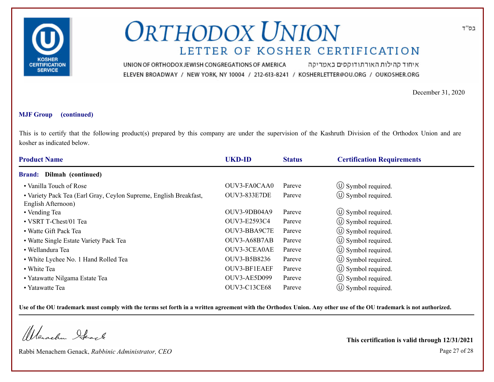

איחוד קהילות האורתודוקסים באמריקה UNION OF ORTHODOX JEWISH CONGREGATIONS OF AMERICA ELEVEN BROADWAY / NEW YORK, NY 10004 / 212-613-8241 / KOSHERLETTER@OU.ORG / OUKOSHER.ORG

December 31, 2020

#### **MJF Group (continued)**

This is to certify that the following product(s) prepared by this company are under the supervision of the Kashruth Division of the Orthodox Union and are kosher as indicated below.

| <b>Product Name</b>                                               | <b>UKD-ID</b>       | <b>Status</b> | <b>Certification Requirements</b> |
|-------------------------------------------------------------------|---------------------|---------------|-----------------------------------|
| Dilmah (continued)<br><b>Brand:</b>                               |                     |               |                                   |
| • Vanilla Touch of Rose                                           | OUV3-FA0CAA0        | Pareve        | $\circ$ Symbol required.          |
| • Variety Pack Tea (Earl Gray, Ceylon Supreme, English Breakfast, | <b>OUV3-833E7DE</b> | Pareve        | $\circled{1}$ Symbol required.    |
| English Afternoon)                                                |                     |               |                                   |
| • Vending Tea                                                     | OUV3-9DB04A9        | Pareve        | $\circled{1}$ Symbol required.    |
| • VSRT T-Chest/01 Tea                                             | OUV3-E2593C4        | Pareve        | $\circled{1}$ Symbol required.    |
| • Watte Gift Pack Tea                                             | OUV3-BBA9C7E        | Pareve        | (U) Symbol required.              |
| • Watte Single Estate Variety Pack Tea                            | OUV3-A68B7AB        | Pareve        | $\circ$ Symbol required.          |
| • Wellandura Tea                                                  | OUV3-3CEA0AE        | Pareve        | $\circ$ Symbol required.          |
| • White Lychee No. 1 Hand Rolled Tea                              | OUV3-B5B8236        | Pareve        | $\circ$ Symbol required.          |
| • White Tea                                                       | OUV3-BF1EAEF        | Pareve        | $\circ$ Symbol required.          |
| • Yatawatte Nilgama Estate Tea                                    | OUV3-AE5D099        | Pareve        | $\circled{1}$ Symbol required.    |
| • Yatawatte Tea                                                   | <b>OUV3-C13CE68</b> | Pareve        | $(U)$ Symbol required.            |

**Use of the OU trademark must comply with the terms set forth in a written agreement with the Orthodox Union. Any other use of the OU trademark is not authorized.**

Werachen Ifearle

Rabbi Menachem Genack, *Rabbinic Administrator, CEO* Page 27 of 28

**This certification is valid through 12/31/2021**